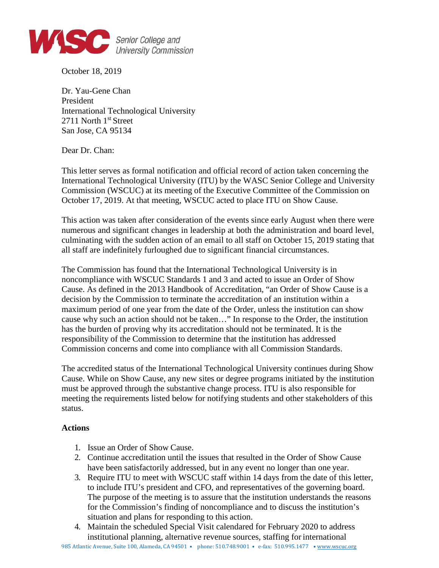

October 18, 2019

Dr. Yau-Gene Chan President International Technological University 2711 North 1<sup>st</sup> Street San Jose, CA 95134

Dear Dr. Chan:

This letter serves as formal notification and official record of action taken concerning the International Technological University (ITU) by the WASC Senior College and University Commission (WSCUC) at its meeting of the Executive Committee of the Commission on October 17, 2019. At that meeting, WSCUC acted to place ITU on Show Cause.

This action was taken after consideration of the events since early August when there were numerous and significant changes in leadership at both the administration and board level, culminating with the sudden action of an email to all staff on October 15, 2019 stating that all staff are indefinitely furloughed due to significant financial circumstances.

The Commission has found that the International Technological University is in noncompliance with WSCUC Standards 1 and 3 and acted to issue an Order of Show Cause. As defined in the 2013 Handbook of Accreditation, "an Order of Show Cause is a decision by the Commission to terminate the accreditation of an institution within a maximum period of one year from the date of the Order, unless the institution can show cause why such an action should not be taken…" In response to the Order, the institution has the burden of proving why its accreditation should not be terminated. It is the responsibility of the Commission to determine that the institution has addressed Commission concerns and come into compliance with all Commission Standards.

The accredited status of the International Technological University continues during Show Cause. While on Show Cause, any new sites or degree programs initiated by the institution must be approved through the substantive change process. ITU is also responsible for meeting the requirements listed below for notifying students and other stakeholders of this status.

## **Actions**

- 1. Issue an Order of Show Cause.
- 2. Continue accreditation until the issues that resulted in the Order of Show Cause have been satisfactorily addressed, but in any event no longer than one year.
- 3. Require ITU to meet with WSCUC staff within 14 days from the date of this letter, to include ITU's president and CFO, and representatives of the governing board. The purpose of the meeting is to assure that the institution understands the reasons for the Commission's finding of noncompliance and to discuss the institution's situation and plans for responding to this action.
- 4. Maintain the scheduled Special Visit calendared for February 2020 to address institutional planning, alternative revenue sources, staffing for international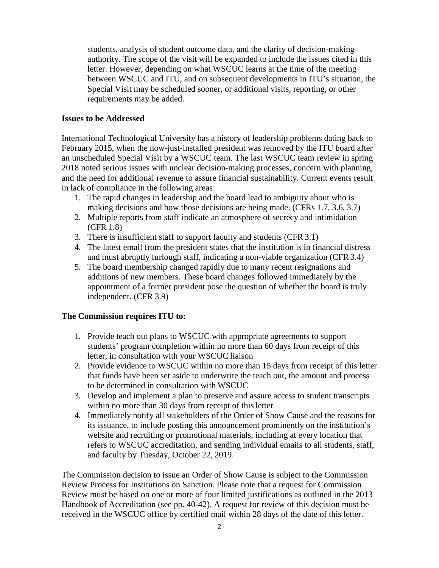students, analysis of student outcome data, and the clarity of decision-making authority. The scope of the visit will be expanded to include the issues cited in this letter. However, depending on what WSCUC learns at the time of the meeting between WSCUC and ITU, and on subsequent developments in ITU's situation, the Special Visit may be scheduled sooner, or additional visits, reporting, or other requirements may be added.

## **Issues to be Addressed**

International Technological University has a history of leadership problems dating back to February 2015, when the now-just-installed president was removed by the ITU board after an unscheduled Special Visit by a WSCUC team. The last WSCUC team review in spring 2018 noted serious issues with unclear decision-making processes, concern with planning, and the need for additional revenue to assure financial sustainability. Current events result in lack of compliance in the following areas:

- 1. The rapid changes in leadership and the board lead to ambiguity about who is making decisions and how those decisions are being made. (CFRs 1.7, 3.6, 3.7)
- 2. Multiple reports from staff indicate an atmosphere of secrecy and intimidation (CFR 1.8)
- 3. There is insufficient staff to support faculty and students (CFR 3.1)
- 4. The latest email from the president states that the institution is in financial distress and must abruptly furlough staff, indicating a non-viable organization (CFR 3.4)
- 5. The board membership changed rapidly due to many recent resignations and additions of new members. These board changes followed immediately by the appointment of a former president pose the question of whether the board is truly independent. (CFR 3.9)

## **The Commission requires ITU to:**

- 1. Provide teach out plans to WSCUC with appropriate agreements to support students' program completion within no more than 60 days from receipt of this letter, in consultation with your WSCUC liaison
- 2. Provide evidence to WSCUC within no more than 15 days from receipt of this letter that funds have been set aside to underwrite the teach out, the amount and process to be determined in consultation with WSCUC
- 3. Develop and implement a plan to preserve and assure access to student transcripts within no more than 30 days from receipt of this letter
- 4. Immediately notify all stakeholders of the Order of Show Cause and the reasons for its issuance, to include posting this announcement prominently on the institution's website and recruiting or promotional materials, including at every location that refers to WSCUC accreditation, and sending individual emails to all students, staff, and faculty by Tuesday, October 22, 2019.

The Commission decision to issue an Order of Show Cause is subject to the Commission Review Process for Institutions on Sanction. Please note that a request for Commission Review must be based on one or more of four limited justifications as outlined in the 2013 Handbook of Accreditation (see pp. 40-42). A request for review of this decision must be received in the WSCUC office by certified mail within 28 days of the date of this letter.